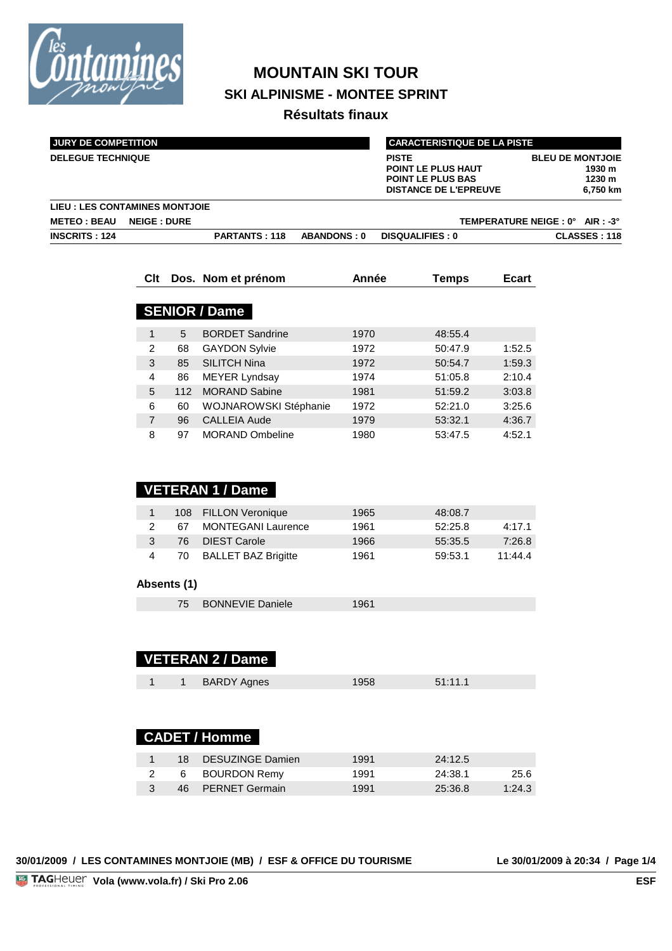

# **MOUNTAIN SKI TOUR SKI ALPINISME - MONTEE SPRINT**

**Résultats finaux**

| <b>JURY DE COMPETITION</b> |                                |                      | <b>CARACTERISTIQUE DE LA PISTE</b> |                                                                                                       |                                |                              |
|----------------------------|--------------------------------|----------------------|------------------------------------|-------------------------------------------------------------------------------------------------------|--------------------------------|------------------------------|
| <b>DELEGUE TECHNIQUE</b>   |                                |                      |                                    | <b>PISTE</b><br><b>POINT LE PLUS HAUT</b><br><b>POINT LE PLUS BAS</b><br><b>DISTANCE DE L'EPREUVE</b> | <b>BLEU DE MONTJOIE</b>        | 1930 m<br>1230 m<br>6,750 km |
|                            | LIEU : LES CONTAMINES MONTJOIE |                      |                                    |                                                                                                       |                                |                              |
| <b>METEO : BEAU</b>        | <b>NEIGE : DURE</b>            |                      |                                    |                                                                                                       | TEMPERATURE NEIGE: 0° AIR: -3° |                              |
| <b>INSCRITS: 124</b>       |                                | <b>PARTANTS: 118</b> | <b>ABANDONS: 0</b>                 | <b>DISQUALIFIES: 0</b>                                                                                |                                | <b>CLASSES: 118</b>          |

| <b>Clt</b> |     | Dos. Nom et prénom     | Année | Temps   | Ecart  |
|------------|-----|------------------------|-------|---------|--------|
|            |     |                        |       |         |        |
|            |     | <b>SENIOR / Dame</b>   |       |         |        |
| 1          | 5   | <b>BORDET Sandrine</b> | 1970  | 48:55.4 |        |
| 2          | 68  | <b>GAYDON Sylvie</b>   | 1972  | 50:47.9 | 1:52.5 |
| 3          | 85  | <b>SILITCH Nina</b>    | 1972  | 50:54.7 | 1:59.3 |
| 4          | 86  | <b>MEYER Lyndsay</b>   | 1974  | 51:05.8 | 2:10.4 |
| 5          | 112 | <b>MORAND Sabine</b>   | 1981  | 51:59.2 | 3:03.8 |
| 6          | 60  | WOJNAROWSKI Stéphanie  | 1972  | 52:21.0 | 3:25.6 |
| 7          | 96  | <b>CALLEIA Aude</b>    | 1979  | 53:32.1 | 4:36.7 |
| 8          | 97  | <b>MORAND Ombeline</b> | 1980  | 53:47.5 | 4:52.1 |

|              | <b>VETERAN 1 / Dame</b> |                            |      |         |         |  |  |  |  |  |  |  |
|--------------|-------------------------|----------------------------|------|---------|---------|--|--|--|--|--|--|--|
| $\mathbf{1}$ | 108                     | <b>FILLON Veronique</b>    | 1965 | 48:08.7 |         |  |  |  |  |  |  |  |
| 2            | 67                      | <b>MONTEGANI Laurence</b>  | 1961 | 52:25.8 | 4:17.1  |  |  |  |  |  |  |  |
| 3            | 76                      | <b>DIEST Carole</b>        | 1966 | 55:35.5 | 7:26.8  |  |  |  |  |  |  |  |
| 4            | 70                      | <b>BALLET BAZ Brigitte</b> | 1961 | 59:53.1 | 11:44.4 |  |  |  |  |  |  |  |
|              |                         |                            |      |         |         |  |  |  |  |  |  |  |
| Absents (1)  |                         |                            |      |         |         |  |  |  |  |  |  |  |
|              | 75                      | <b>BONNEVIE Daniele</b>    | 1961 |         |         |  |  |  |  |  |  |  |
|              |                         |                            |      |         |         |  |  |  |  |  |  |  |
|              |                         |                            |      |         |         |  |  |  |  |  |  |  |
|              |                         | <b>VETERAN 2 / Dame</b>    |      |         |         |  |  |  |  |  |  |  |
|              |                         |                            |      |         |         |  |  |  |  |  |  |  |
| 1            | $\mathbf{1}$            | <b>BARDY Agnes</b>         | 1958 | 51:11.1 |         |  |  |  |  |  |  |  |
|              |                         |                            |      |         |         |  |  |  |  |  |  |  |
|              |                         |                            |      |         |         |  |  |  |  |  |  |  |
|              |                         | <b>CADET / Homme</b>       |      |         |         |  |  |  |  |  |  |  |
|              |                         |                            |      |         |         |  |  |  |  |  |  |  |

| 18 | DESUZINGE Damien  | 1991 | 24:12.5 |        |
|----|-------------------|------|---------|--------|
|    | 6 BOURDON Remy    | 1991 | 24:38.1 | 25.6   |
|    | 46 PERNET Germain | 1991 | 25:36.8 | 1:24.3 |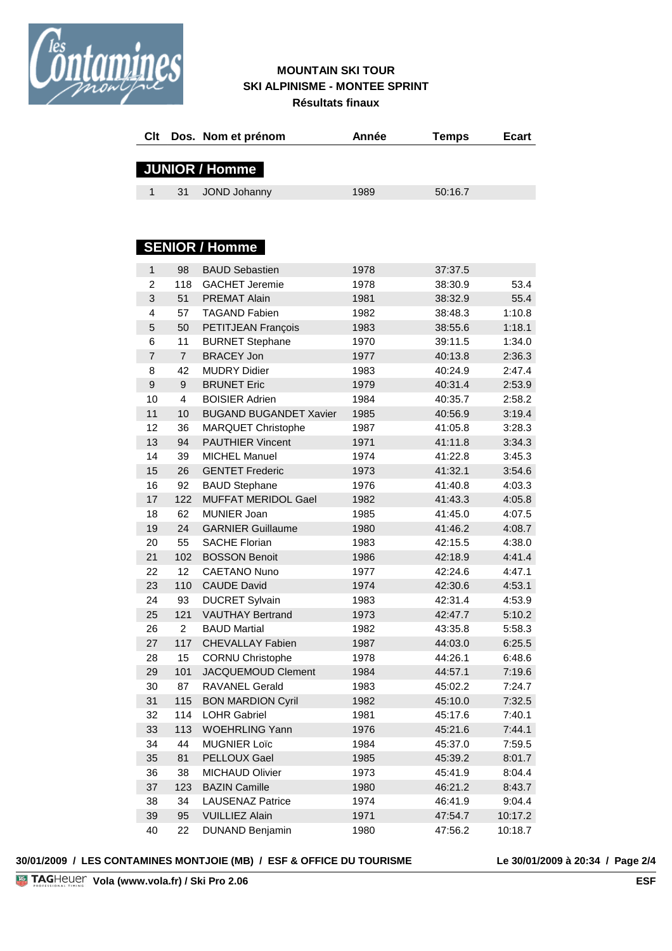

#### **MOUNTAIN SKI TOUR SKI ALPINISME - MONTEE SPRINT Résultats finaux**

| Clt            |                  | Dos. Nom et prénom            | Année | <b>Temps</b> | <b>Ecart</b> |
|----------------|------------------|-------------------------------|-------|--------------|--------------|
|                |                  | <b>JUNIOR / Homme</b>         |       |              |              |
| 1              | 31               | JOND Johanny                  | 1989  | 50:16.7      |              |
|                |                  |                               |       |              |              |
|                |                  | <b>SENIOR / Homme</b>         |       |              |              |
| 1              | 98               | <b>BAUD Sebastien</b>         | 1978  | 37:37.5      |              |
| $\overline{2}$ | 118              | <b>GACHET Jeremie</b>         | 1978  | 38:30.9      | 53.4         |
| 3              | 51               | <b>PREMAT Alain</b>           | 1981  | 38:32.9      | 55.4         |
| 4              | 57               | <b>TAGAND Fabien</b>          | 1982  | 38:48.3      | 1:10.8       |
| 5              | 50               | PETITJEAN François            | 1983  | 38:55.6      | 1:18.1       |
| 6              | 11               | <b>BURNET Stephane</b>        | 1970  | 39:11.5      | 1:34.0       |
| $\overline{7}$ | $\overline{7}$   | <b>BRACEY Jon</b>             | 1977  | 40:13.8      | 2:36.3       |
| 8              | 42               | <b>MUDRY Didier</b>           | 1983  | 40:24.9      | 2:47.4       |
| 9              | 9                | <b>BRUNET Eric</b>            | 1979  | 40:31.4      | 2:53.9       |
| 10             | 4                | <b>BOISIER Adrien</b>         | 1984  | 40:35.7      | 2:58.2       |
| 11             | 10               | <b>BUGAND BUGANDET Xavier</b> | 1985  | 40:56.9      | 3:19.4       |
| 12             | 36               | MARQUET Christophe            | 1987  | 41:05.8      | 3:28.3       |
| 13             | 94               | <b>PAUTHIER Vincent</b>       | 1971  | 41:11.8      | 3:34.3       |
| 14             | 39               | <b>MICHEL Manuel</b>          | 1974  | 41:22.8      | 3:45.3       |
| 15             | 26               | <b>GENTET Frederic</b>        | 1973  | 41:32.1      | 3:54.6       |
| 16             | 92               | <b>BAUD Stephane</b>          | 1976  | 41:40.8      | 4:03.3       |
| 17             | 122              | <b>MUFFAT MERIDOL Gael</b>    | 1982  | 41:43.3      | 4:05.8       |
| 18             | 62               | MUNIER Joan                   | 1985  | 41:45.0      | 4:07.5       |
| 19             | 24               | <b>GARNIER Guillaume</b>      | 1980  | 41:46.2      | 4:08.7       |
| 20             | 55               | <b>SACHE Florian</b>          | 1983  | 42:15.5      | 4:38.0       |
| 21             | 102              | <b>BOSSON Benoit</b>          | 1986  | 42:18.9      | 4:41.4       |
| 22             | 12 <sup>°</sup>  | <b>CAETANO Nuno</b>           | 1977  | 42:24.6      | 4:47.1       |
| 23             | 110              | <b>CAUDE David</b>            | 1974  | 42:30.6      | 4:53.1       |
| 24             | 93               | <b>DUCRET Sylvain</b>         | 1983  | 42:31.4      | 4:53.9       |
| 25             | 121              | <b>VAUTHAY Bertrand</b>       | 1973  | 42:47.7      | 5:10.2       |
| 26             | $\boldsymbol{2}$ | <b>BAUD Martial</b>           | 1982  | 43:35.8      | 5:58.3       |
| 27             | 117              | <b>CHEVALLAY Fabien</b>       | 1987  | 44:03.0      | 6:25.5       |
| 28             | 15               | <b>CORNU Christophe</b>       | 1978  | 44:26.1      | 6:48.6       |
| 29             | 101              | JACQUEMOUD Clement            | 1984  | 44:57.1      | 7:19.6       |
| 30             | 87               | RAVANEL Gerald                | 1983  | 45:02.2      | 7:24.7       |
| 31             | 115              | <b>BON MARDION Cyril</b>      | 1982  | 45:10.0      | 7:32.5       |
| 32             | 114              | <b>LOHR Gabriel</b>           | 1981  | 45:17.6      | 7:40.1       |
| 33             | 113              | <b>WOEHRLING Yann</b>         | 1976  | 45:21.6      | 7:44.1       |
| 34             | 44               | <b>MUGNIER Loïc</b>           | 1984  | 45:37.0      | 7:59.5       |
| 35             | 81               | PELLOUX Gael                  | 1985  | 45:39.2      | 8:01.7       |
| 36             | 38               | <b>MICHAUD Olivier</b>        | 1973  | 45:41.9      | 8:04.4       |
| 37             | 123              | <b>BAZIN Camille</b>          | 1980  | 46:21.2      | 8:43.7       |
| 38             | 34               | <b>LAUSENAZ Patrice</b>       | 1974  | 46:41.9      | 9:04.4       |
| 39             | 95               | <b>VUILLIEZ Alain</b>         | 1971  | 47:54.7      | 10:17.2      |
| 40             | 22               | <b>DUNAND Benjamin</b>        | 1980  | 47:56.2      | 10:18.7      |
|                |                  |                               |       |              |              |

#### **30/01/2009 / LES CONTAMINES MONTJOIE (MB) / ESF & OFFICE DU TOURISME Le 30/01/2009 à 20:34 / Page 2/4**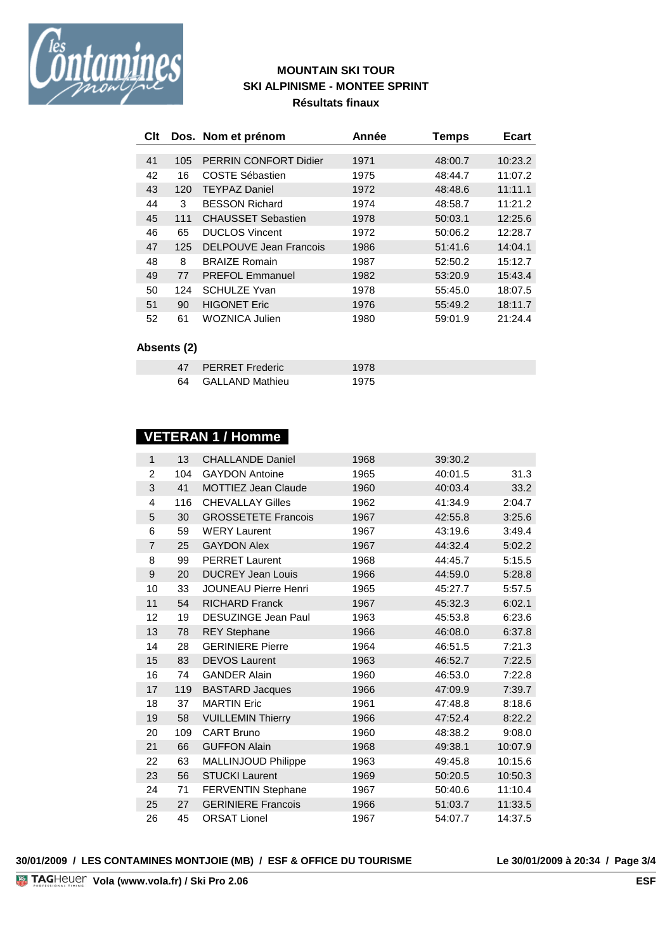

### **MOUNTAIN SKI TOUR SKI ALPINISME - MONTEE SPRINT Résultats finaux**

|    |             | Clt Dos. Nom et prénom       | Année | Temps   | <b>Ecart</b> |
|----|-------------|------------------------------|-------|---------|--------------|
|    |             |                              |       |         |              |
| 41 | 105         | <b>PERRIN CONFORT Didier</b> | 1971  | 48:00.7 | 10:23.2      |
| 42 | 16          | <b>COSTE Sébastien</b>       | 1975  | 48:44.7 | 11:07.2      |
| 43 | 120         | <b>TEYPAZ Daniel</b>         | 1972  | 48:48.6 | 11:11.1      |
| 44 | 3           | <b>BESSON Richard</b>        | 1974  | 48:58.7 | 11:21.2      |
| 45 | 111         | <b>CHAUSSET Sebastien</b>    | 1978  | 50:03.1 | 12:25.6      |
| 46 | 65          | <b>DUCLOS Vincent</b>        | 1972  | 50:06.2 | 12:28.7      |
| 47 | 125         | DELPOUVE Jean Francois       | 1986  | 51:41.6 | 14:04.1      |
| 48 | 8           | <b>BRAIZE Romain</b>         | 1987  | 52:50.2 | 15:12.7      |
| 49 | 77          | <b>PREFOL Emmanuel</b>       | 1982  | 53:20.9 | 15:43.4      |
| 50 | 124         | <b>SCHULZE Yvan</b>          | 1978  | 55:45.0 | 18:07.5      |
| 51 | 90          | <b>HIGONET Eric</b>          | 1976  | 55:49.2 | 18:11.7      |
| 52 | 61          | WOZNICA Julien               | 1980  | 59:01.9 | 21:24.4      |
|    | Absents (2) |                              |       |         |              |
|    | 47          | <b>PERRET Frederic</b>       | 1978  |         |              |

| 64 |                 |      |
|----|-----------------|------|
|    | GALLAND Mathieu | 1975 |

| VETERAN 1 / Homme |  |
|-------------------|--|
|                   |  |

| $\mathbf{1}$   | 13  | <b>CHALLANDE Daniel</b>     | 1968 | 39:30.2 |         |
|----------------|-----|-----------------------------|------|---------|---------|
| $\overline{2}$ | 104 | <b>GAYDON Antoine</b>       | 1965 | 40:01.5 | 31.3    |
| 3              | 41  | <b>MOTTIEZ Jean Claude</b>  | 1960 | 40:03.4 | 33.2    |
| $\overline{4}$ | 116 | <b>CHEVALLAY Gilles</b>     | 1962 | 41:34.9 | 2:04.7  |
| 5              | 30  | <b>GROSSETETE Francois</b>  | 1967 | 42:55.8 | 3:25.6  |
| 6              | 59  | <b>WERY Laurent</b>         | 1967 | 43:19.6 | 3:49.4  |
| $\overline{7}$ | 25  | <b>GAYDON Alex</b>          | 1967 | 44:32.4 | 5:02.2  |
| 8              | 99  | <b>PERRET Laurent</b>       | 1968 | 44:45.7 | 5:15.5  |
| 9              | 20  | <b>DUCREY Jean Louis</b>    | 1966 | 44:59.0 | 5:28.8  |
| 10             | 33  | <b>JOUNEAU Pierre Henri</b> | 1965 | 45:27.7 | 5:57.5  |
| 11             | 54  | <b>RICHARD Franck</b>       | 1967 | 45:32.3 | 6:02.1  |
| 12             | 19  | <b>DESUZINGE Jean Paul</b>  | 1963 | 45:53.8 | 6:23.6  |
| 13             | 78  | <b>REY Stephane</b>         | 1966 | 46:08.0 | 6:37.8  |
| 14             | 28  | <b>GERINIERE Pierre</b>     | 1964 | 46:51.5 | 7:21.3  |
| 15             | 83  | <b>DEVOS Laurent</b>        | 1963 | 46:52.7 | 7:22.5  |
| 16             | 74  | <b>GANDER Alain</b>         | 1960 | 46:53.0 | 7:22.8  |
| 17             | 119 | <b>BASTARD Jacques</b>      | 1966 | 47:09.9 | 7:39.7  |
| 18             | 37  | <b>MARTIN Eric</b>          | 1961 | 47:48.8 | 8:18.6  |
| 19             | 58  | <b>VUILLEMIN Thierry</b>    | 1966 | 47:52.4 | 8:22.2  |
| 20             | 109 | <b>CART Bruno</b>           | 1960 | 48:38.2 | 9:08.0  |
| 21             | 66  | <b>GUFFON Alain</b>         | 1968 | 49:38.1 | 10:07.9 |
| 22             | 63  | MALLINJOUD Philippe         | 1963 | 49:45.8 | 10:15.6 |
| 23             | 56  | <b>STUCKI Laurent</b>       | 1969 | 50:20.5 | 10:50.3 |
| 24             | 71  | FERVENTIN Stephane          | 1967 | 50:40.6 | 11:10.4 |
| 25             | 27  | <b>GERINIERE Francois</b>   | 1966 | 51:03.7 | 11:33.5 |
| 26             | 45  | <b>ORSAT Lionel</b>         | 1967 | 54:07.7 | 14:37.5 |

#### **30/01/2009 / LES CONTAMINES MONTJOIE (MB) / ESF & OFFICE DU TOURISME Le 30/01/2009 à 20:34 / Page 3/4**